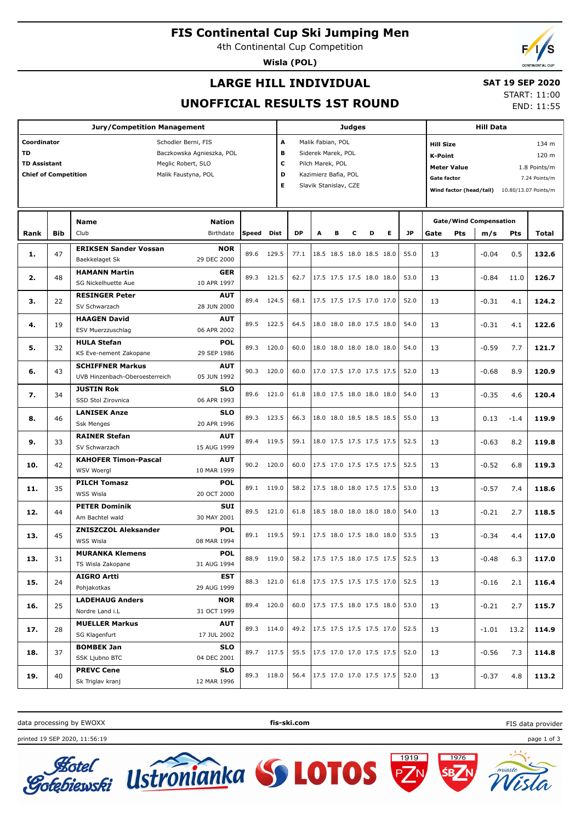## **FIS Continental Cup Ski Jumping Men**

4th Continental Cup Competition

**Wisla (POL)**

# **LARGE HILL INDIVIDUAL**

### **SAT 19 SEP 2020**

START: 11:00 END: 11:55

# **UNOFFICIAL RESULTS 1ST ROUND**

| <b>Jury/Competition Management</b>        |            |                                               |               |            |       |                         |                                  | Judges                   |   |                                                                                 |                          |           |                                                          |                           | <b>Hill Data</b>              |      |                      |       |  |
|-------------------------------------------|------------|-----------------------------------------------|---------------|------------|-------|-------------------------|----------------------------------|--------------------------|---|---------------------------------------------------------------------------------|--------------------------|-----------|----------------------------------------------------------|---------------------------|-------------------------------|------|----------------------|-------|--|
| Coordinator                               |            | Schodler Berni, FIS                           |               |            |       | Malik Fabian, POL<br>A  |                                  |                          |   |                                                                                 |                          |           |                                                          | 134 m<br><b>Hill Size</b> |                               |      |                      |       |  |
| <b>TD</b><br>Baczkowska Agnieszka, POL    |            |                                               |               |            |       | в<br>Siderek Marek, POL |                                  |                          |   |                                                                                 |                          |           | 120 m<br><b>K-Point</b>                                  |                           |                               |      |                      |       |  |
| <b>TD Assistant</b><br>Meglic Robert, SLO |            |                                               |               |            |       | с<br>Pilch Marek, POL   |                                  |                          |   |                                                                                 |                          |           |                                                          |                           |                               |      |                      |       |  |
| <b>Chief of Competition</b>               |            | Malik Faustyna, POL                           |               |            | D     |                         | Kazimierz Bafia, POL             |                          |   |                                                                                 |                          |           | <b>Meter Value</b><br>1.8 Points/m<br><b>Gate factor</b> |                           |                               |      | 7.24 Points/m        |       |  |
|                                           |            |                                               |               |            | Е     |                         | Slavik Stanislav, CZE            |                          |   |                                                                                 |                          |           |                                                          | Wind factor (head/tail)   |                               |      | 10.80/13.07 Points/m |       |  |
|                                           |            |                                               |               |            |       |                         |                                  |                          |   |                                                                                 |                          |           |                                                          |                           |                               |      |                      |       |  |
|                                           |            |                                               |               |            |       |                         |                                  |                          |   |                                                                                 |                          |           |                                                          |                           |                               |      |                      |       |  |
|                                           |            | <b>Name</b>                                   | <b>Nation</b> |            |       |                         |                                  |                          |   |                                                                                 |                          |           |                                                          |                           | <b>Gate/Wind Compensation</b> |      |                      |       |  |
| Rank                                      | <b>Bib</b> | Club                                          | Birthdate     | Speed      | Dist  | <b>DP</b>               | A                                |                          | с | D                                                                               | E.                       | <b>JP</b> | Gate                                                     | Pts                       | m/s                           | Pts  | Total                |       |  |
|                                           |            | <b>ERIKSEN Sander Vossan</b>                  | <b>NOR</b>    | 89.6       | 129.5 | 77.1                    |                                  |                          |   | 18.5 18.5 18.0 18.5 18.0                                                        |                          | 55.0      |                                                          |                           |                               |      |                      |       |  |
| 1.                                        | 47         | Baekkelaget Sk                                | 29 DEC 2000   |            |       |                         |                                  |                          |   |                                                                                 |                          |           | 13                                                       |                           | $-0.04$                       | 0.5  | 132.6                |       |  |
|                                           | 48         | <b>HAMANN Martin</b>                          | <b>GER</b>    | 89.3       | 121.5 | 62.7                    |                                  |                          |   | 17.5 17.5 17.5 18.0 18.0                                                        |                          | 53.0      |                                                          |                           |                               |      |                      |       |  |
| 2.                                        |            | SG Nickelhuette Aue                           | 10 APR 1997   |            |       |                         |                                  |                          |   |                                                                                 |                          |           | 13                                                       |                           | $-0.84$                       | 11.0 | 126.7                |       |  |
|                                           |            | <b>RESINGER Peter</b>                         | <b>AUT</b>    | 89.4       |       |                         |                                  |                          |   |                                                                                 |                          | 52.0      |                                                          |                           |                               |      |                      |       |  |
| з.                                        | 22         | SV Schwarzach                                 | 28 JUN 2000   |            | 124.5 | 68.1                    |                                  |                          |   | 17.5 17.5 17.5 17.0 17.0                                                        |                          |           | 13                                                       |                           | $-0.31$<br>4.1                |      | 124.2                |       |  |
| 4.                                        | 19         | <b>HAAGEN David</b>                           | <b>AUT</b>    | 89.5       | 122.5 | 64.5                    |                                  | 18.0 18.0 18.0 17.5 18.0 |   |                                                                                 |                          | 54.0      |                                                          |                           | $-0.31$<br>4.1                |      |                      |       |  |
|                                           |            | ESV Muerzzuschlag                             | 06 APR 2002   |            |       |                         |                                  |                          |   |                                                                                 |                          |           | 13                                                       |                           |                               |      | 122.6                |       |  |
| 5.                                        | 32         | <b>HULA Stefan</b>                            | <b>POL</b>    | 89.3       | 120.0 |                         | 60.0<br>18.0 18.0 18.0 18.0 18.0 |                          |   |                                                                                 |                          | 54.0      | 13                                                       |                           | $-0.59$<br>7.7                |      | 121.7                |       |  |
|                                           |            | KS Eve-nement Zakopane                        | 29 SEP 1986   |            |       |                         |                                  |                          |   |                                                                                 |                          |           |                                                          |                           |                               |      |                      |       |  |
| 6.                                        | 43         | <b>SCHIFFNER Markus</b>                       | <b>AUT</b>    | 90.3       | 120.0 | 60.0                    |                                  |                          |   | 17.0 17.5 17.0 17.5 17.5                                                        |                          | 52.0      | 13                                                       |                           | $-0.68$                       | 8.9  | 120.9                |       |  |
|                                           |            | UVB Hinzenbach-Oberoesterreich<br>05 JUN 1992 |               |            |       |                         |                                  |                          |   |                                                                                 |                          |           |                                                          |                           |                               |      |                      |       |  |
| 7.                                        | 34         | <b>JUSTIN Rok</b>                             | <b>SLO</b>    | 89.6       |       | 61.8                    |                                  |                          |   | 18.0 17.5 18.0 18.0 18.0                                                        |                          | 54.0      | 13                                                       |                           | $-0.35$                       | 4.6  | 120.4                |       |  |
|                                           |            | SSD Stol Zirovnica                            | 06 APR 1993   |            | 121.0 |                         |                                  |                          |   |                                                                                 |                          |           |                                                          |                           |                               |      |                      |       |  |
| 8.                                        | 46         | <b>LANISEK Anze</b>                           | <b>SLO</b>    | 89.3       | 123.5 |                         | 66.3                             |                          |   |                                                                                 | 18.0 18.0 18.5 18.5 18.5 |           | 55.0                                                     | 13                        |                               | 0.13 | $-1.4$               | 119.9 |  |
|                                           |            | <b>Ssk Menges</b>                             | 20 APR 1996   |            |       |                         |                                  |                          |   |                                                                                 |                          |           |                                                          |                           |                               |      |                      |       |  |
| 9.                                        | 33         | <b>RAINER Stefan</b><br><b>AUT</b>            |               | 89.4       | 119.5 | 59.1                    |                                  |                          |   | 18.0 17.5 17.5 17.5 17.5                                                        |                          | 52.5      | 13                                                       |                           | $-0.63$                       | 8.2  | 119.8                |       |  |
|                                           |            | SV Schwarzach                                 | 15 AUG 1999   |            |       |                         |                                  |                          |   |                                                                                 |                          |           |                                                          |                           |                               |      |                      |       |  |
| 10.                                       | 42         | <b>KAHOFER Timon-Pascal</b>                   | <b>AUT</b>    | 90.2       | 120.0 | 60.0                    |                                  | 17.5 17.0 17.5 17.5 17.5 |   |                                                                                 |                          | 52.5      | 13                                                       |                           | $-0.52$                       | 6.8  | 119.3                |       |  |
|                                           |            | <b>WSV Woergl</b>                             | 10 MAR 1999   |            |       |                         |                                  |                          |   |                                                                                 |                          |           |                                                          |                           |                               |      |                      |       |  |
| 11.                                       | 35         | <b>PILCH Tomasz</b>                           | <b>POL</b>    | 89.1       | 119.0 | 58.2                    |                                  |                          |   |                                                                                 | 17.5 18.0 18.0 17.5 17.5 | 53.0      | 13                                                       |                           | $-0.57$                       | 7.4  | 118.6                |       |  |
|                                           |            | WSS Wisla                                     | 20 OCT 2000   |            |       |                         |                                  |                          |   |                                                                                 |                          |           |                                                          |                           |                               |      |                      |       |  |
| 12.                                       | 44         | <b>PETER Dominik</b>                          | <b>SUI</b>    | 89.5       | 121.0 | 61.8                    |                                  |                          |   | 18.5 18.0 18.0 18.0 18.0                                                        |                          | 54.0      | 13                                                       |                           | $-0.21$                       | 2.7  | 118.5                |       |  |
|                                           |            | Am Bachtel wald                               | 30 MAY 2001   |            |       |                         |                                  |                          |   |                                                                                 |                          |           |                                                          |                           |                               |      |                      |       |  |
| 13.                                       | 45         | <b>ZNISZCZOL Aleksander</b>                   | <b>POL</b>    | 89.1 119.5 |       | 59.1                    |                                  |                          |   | 17.5 18.0 17.5 18.0 18.0                                                        |                          | 53.5      | 13                                                       |                           | $-0.34$                       | 4.4  | 117.0                |       |  |
|                                           |            | WSS Wisla                                     | 08 MAR 1994   |            |       |                         |                                  |                          |   |                                                                                 |                          |           |                                                          |                           |                               |      |                      |       |  |
| 13.                                       | 31         | <b>MURANKA Klemens</b>                        | <b>POL</b>    | 88.9 119.0 |       | 58.2                    |                                  |                          |   | $\left  \begin{array}{cc} 17.5 & 17.5 & 18.0 & 17.5 & 17.5 \end{array} \right $ |                          | 52.5      | 13                                                       |                           | $-0.48$                       | 6.3  | 117.0                |       |  |
|                                           |            | TS Wisla Zakopane                             | 31 AUG 1994   |            |       |                         |                                  |                          |   |                                                                                 |                          |           |                                                          |                           |                               |      |                      |       |  |
| 15.                                       | 24         | <b>AIGRO Artti</b>                            | <b>EST</b>    | 88.3 121.0 |       | 61.8                    |                                  |                          |   | 17.5 17.5 17.5 17.5 17.0                                                        |                          | 52.5      | 13                                                       |                           | $-0.16$                       | 2.1  | 116.4                |       |  |
|                                           |            | Pohjakotkas                                   | 29 AUG 1999   |            |       |                         |                                  |                          |   |                                                                                 |                          |           |                                                          |                           |                               |      |                      |       |  |
| 16.                                       | 25         | <b>LADEHAUG Anders</b>                        | <b>NOR</b>    | 89.4 120.0 |       | 60.0                    |                                  |                          |   | 17.5 17.5 18.0 17.5 18.0                                                        |                          | 53.0      | 13                                                       |                           | $-0.21$                       | 2.7  | 115.7                |       |  |
|                                           |            | Nordre Land i.L                               | 31 OCT 1999   |            |       |                         |                                  |                          |   |                                                                                 |                          |           |                                                          |                           |                               |      |                      |       |  |
| 17.                                       | 28         | <b>MUELLER Markus</b>                         | <b>AUT</b>    | 89.3 114.0 |       | 49.2                    |                                  |                          |   | 17.5 17.5 17.5 17.5 17.0                                                        |                          | 52.5      | 13                                                       |                           | $-1.01$                       | 13.2 | 114.9                |       |  |
|                                           |            | SG Klagenfurt                                 | 17 JUL 2002   |            |       |                         |                                  |                          |   |                                                                                 |                          |           |                                                          |                           |                               |      |                      |       |  |
| 18.                                       | 37         | <b>BOMBEK Jan</b>                             | <b>SLO</b>    | 89.7 117.5 |       | 55.5                    |                                  |                          |   | 17.5 17.0 17.0 17.5 17.5                                                        |                          | 52.0      | 13                                                       |                           | $-0.56$                       | 7.3  | 114.8                |       |  |
|                                           |            | SSK Ljubno BTC                                | 04 DEC 2001   |            |       |                         |                                  |                          |   |                                                                                 |                          |           |                                                          |                           |                               |      |                      |       |  |
| 19.                                       | 40         | <b>PREVC Cene</b>                             | <b>SLO</b>    | 89.3 118.0 |       | 56.4                    |                                  |                          |   | 17.5 17.0 17.0 17.5 17.5                                                        |                          | 52.0      | 13                                                       |                           | $-0.37$                       | 4.8  | 113.2                |       |  |
|                                           |            | Sk Triglav kranj                              | 12 MAR 1996   |            |       |                         |                                  |                          |   |                                                                                 |                          |           |                                                          |                           |                               |      |                      |       |  |

data processing by EWOXX **fis-ski.com**

Ustronianka SS LOTOS

printed 19 SEP 2020, 11:56:19 page 1 of 3



FIS data provider



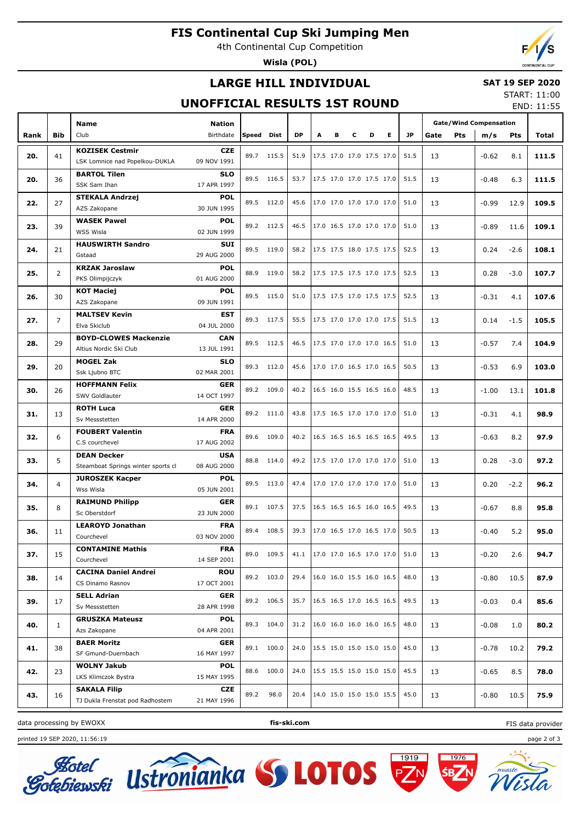# **FIS Continental Cup Ski Jumping Men**

4th Continental Cup Competition

**Wisla (POL)**

# **LARGE HILL INDIVIDUAL**

#### **SAT 19 SEP 2020**

### **UNOFFICIAL RESULTS 1ST ROUND**

START: 11:00 END: 11:55

|      |            | Name<br><b>Nation</b>                                                  |                           |       |             |           |                          |                          |                          |   |                          |           | <b>Gate/Wind Compensation</b> |         |            |       |
|------|------------|------------------------------------------------------------------------|---------------------------|-------|-------------|-----------|--------------------------|--------------------------|--------------------------|---|--------------------------|-----------|-------------------------------|---------|------------|-------|
| Rank | <b>Bib</b> | Club                                                                   | Birthdate                 | Speed | <b>Dist</b> | <b>DP</b> | A                        | в                        | c                        | D | E.                       | <b>JP</b> | Gate<br><b>Pts</b>            | m/s     | <b>Pts</b> | Total |
|      |            | <b>KOZISEK Cestmir</b>                                                 | <b>CZE</b>                | 89.7  |             | 51.9      |                          |                          |                          |   |                          | 51.5      |                               |         |            |       |
| 20.  | 41         | LSK Lomnice nad Popelkou-DUKLA                                         | 09 NOV 1991               |       | 115.5       |           |                          | 17.5 17.0 17.0 17.5 17.0 |                          |   |                          |           | 13                            | $-0.62$ | 8.1        | 111.5 |
| 20.  | 36         | <b>BARTOL Tilen</b>                                                    | <b>SLO</b>                | 89.5  | 116.5       | 53.7      |                          | 17.5 17.0 17.0 17.5 17.0 |                          |   |                          | 51.5      | 13                            | $-0.48$ | 6.3        | 111.5 |
|      |            | SSK Sam Ihan                                                           | 17 APR 1997               |       |             |           |                          |                          |                          |   |                          |           |                               |         |            |       |
| 22.  | 27         | <b>STEKALA Andrzej</b>                                                 | <b>POL</b>                | 89.5  | 112.0       | 45.6      |                          | 17.0 17.0 17.0 17.0 17.0 |                          |   |                          | 51.0      | 13                            | $-0.99$ | 12.9       | 109.5 |
|      |            | AZS Zakopane                                                           | 30 JUN 1995               |       |             |           |                          |                          |                          |   |                          |           |                               |         |            |       |
| 23.  | 39         | <b>WASEK Pawel</b>                                                     | <b>POL</b>                |       | 89.2 112.5  | 46.5      |                          | 17.0 16.5 17.0 17.0 17.0 |                          |   |                          | 51.0      | 13                            | $-0.89$ | 11.6       | 109.1 |
|      |            | WSS Wisla                                                              | 02 JUN 1999               |       |             |           |                          |                          |                          |   |                          |           |                               |         |            |       |
| 24.  | 21         | <b>HAUSWIRTH Sandro</b>                                                | <b>SUI</b>                | 89.5  | 119.0       | 58.2      |                          | 17.5 17.5 18.0 17.5 17.5 |                          |   |                          | 52.5      | 13                            | 0.24    | $-2.6$     | 108.1 |
|      |            | Gstaad                                                                 | 29 AUG 2000               |       |             |           |                          |                          |                          |   |                          |           |                               |         |            |       |
| 25.  | 2          | <b>KRZAK Jaroslaw</b>                                                  | <b>POL</b>                | 88.9  | 119.0       | 58.2      |                          | 17.5 17.5 17.5 17.0 17.5 |                          |   |                          | 52.5      | 13                            | 0.28    | $-3.0$     | 107.7 |
|      |            | PKS Olimpijczyk                                                        | 01 AUG 2000               |       |             |           |                          |                          |                          |   |                          |           |                               |         |            |       |
| 26.  | 30         | <b>KOT Maciej</b>                                                      | <b>POL</b><br>09 JUN 1991 | 89.5  | 115.0       | 51.0      |                          | 17.5 17.5 17.0 17.5 17.5 |                          |   |                          | 52.5      | 13                            | $-0.31$ | 4.1        | 107.6 |
|      |            | AZS Zakopane<br><b>MALTSEV Kevin</b>                                   |                           |       |             |           |                          |                          |                          |   |                          |           |                               |         |            |       |
| 27.  | 7          | Elva Skiclub                                                           | <b>EST</b><br>04 JUL 2000 |       | 89.3 117.5  | 55.5      |                          | 17.5 17.0 17.0 17.0 17.5 |                          |   |                          | 51.5      | 13                            | 0.14    | $-1.5$     | 105.5 |
|      |            | <b>BOYD-CLOWES Mackenzie</b>                                           | <b>CAN</b>                |       |             |           |                          |                          |                          |   |                          |           |                               |         |            |       |
| 28.  | 29         | Altius Nordic Ski Club                                                 | 13 JUL 1991               | 89.5  | 112.5       | 46.5      |                          | 17.5 17.0 17.0 17.0 16.5 |                          |   |                          | 51.0      | 13                            | $-0.57$ | 7.4        | 104.9 |
|      |            | <b>MOGEL Zak</b>                                                       | <b>SLO</b>                |       |             |           |                          |                          |                          |   |                          |           |                               |         |            |       |
| 29.  | 20         | Ssk Ljubno BTC                                                         | 02 MAR 2001               | 89.3  | 112.0       | 45.6      |                          | 17.0 17.0 16.5 17.0 16.5 |                          |   |                          | 50.5      | 13                            | $-0.53$ | 6.9        | 103.0 |
|      |            | <b>HOFFMANN Felix</b>                                                  | GER                       |       |             |           |                          |                          |                          |   |                          |           |                               |         |            |       |
| 30.  | 26         | SWV Goldlauter                                                         | 14 OCT 1997               | 89.2  | 109.0       | 40.2      |                          | 16.5 16.0 15.5 16.5 16.0 |                          |   |                          | 48.5      | 13                            | $-1.00$ | 13.1       | 101.8 |
|      |            | <b>ROTH Luca</b>                                                       | GER                       |       |             |           | 17.5 16.5 17.0 17.0 17.0 |                          |                          |   |                          |           |                               |         |            |       |
| 31.  | 13         | Sv Messstetten                                                         | 14 APR 2000               |       | 89.2 111.0  | 43.8      |                          |                          |                          |   |                          | 51.0      | 13                            | $-0.31$ | 4.1        | 98.9  |
|      |            | <b>FOUBERT Valentin</b><br><b>FRA</b><br>C.S courchevel<br>17 AUG 2002 |                           | 89.6  | 109.0       |           |                          |                          |                          |   | 16.5 16.5 16.5 16.5 16.5 | 49.5      | 13                            |         |            |       |
| 32.  | 6          |                                                                        |                           |       |             | 40.2      |                          |                          |                          |   |                          |           |                               | $-0.63$ | 8.2        | 97.9  |
| 33.  | 5          | <b>DEAN Decker</b>                                                     | <b>USA</b>                | 88.8  | 114.0       | 49.2      |                          |                          |                          |   | 17.5 17.0 17.0 17.0 17.0 | 51.0      | 13                            | 0.28    | $-3.0$     | 97.2  |
|      |            | Steamboat Springs winter sports cl                                     | 08 AUG 2000               |       |             |           |                          |                          |                          |   |                          |           |                               |         |            |       |
| 34.  | 4          | <b>JUROSZEK Kacper</b>                                                 | <b>POL</b><br>05 JUN 2001 | 89.5  | 113.0       | 47.4      |                          | 17.0 17.0 17.0 17.0 17.0 |                          |   |                          | 51.0      | 13                            | 0.20    | $-2.2$     | 96.2  |
|      |            | Wss Wisla                                                              |                           |       |             |           |                          |                          |                          |   |                          |           |                               |         |            |       |
| 35.  | 8          | <b>RAIMUND Philipp</b>                                                 | GER                       | 89.1  | 107.5       | 37.5      |                          | 16.5 16.5 16.5 16.0 16.5 |                          |   |                          | 49.5      | 13                            | $-0.67$ | 8.8        | 95.8  |
|      |            | Sc Oberstdorf                                                          | 23 JUN 2000               |       |             |           |                          |                          |                          |   |                          |           |                               |         |            |       |
| 36.  | 11         | <b>LEAROYD Jonathan</b><br>Courchevel                                  | <b>FRA</b><br>03 NOV 2000 | 89.4  | 108.5       | 39.3      |                          | 17.0 16.5 17.0 16.5 17.0 |                          |   |                          | 50.5      | 13                            | $-0.40$ | 5.2        | 95.0  |
|      |            | <b>CONTAMINE Mathis</b>                                                | <b>FRA</b>                |       |             |           |                          |                          |                          |   |                          |           |                               |         |            |       |
| 37.  | 15         | Courchevel                                                             | 14 SEP 2001               |       | 89.0 109.5  | 41.1      |                          | 17.0 17.0 16.5 17.0 17.0 |                          |   |                          | 51.0      | 13                            | $-0.20$ | 2.6        | 94.7  |
|      |            | <b>CACINA Daniel Andrei</b>                                            | <b>ROU</b>                |       |             |           |                          |                          |                          |   |                          |           |                               |         |            |       |
| 38.  | 14         | CS Dinamo Rasnov                                                       | 17 OCT 2001               |       | 89.2 103.0  | 29.4      |                          | 16.0 16.0 15.5 16.0 16.5 |                          |   |                          | 48.0      | 13                            | $-0.80$ | 10.5       | 87.9  |
|      |            | <b>SELL Adrian</b>                                                     | <b>GER</b>                |       |             |           |                          |                          |                          |   |                          |           |                               |         |            |       |
| 39.  | 17         | Sv Messstetten                                                         | 28 APR 1998               |       | 89.2 106.5  | 35.7      |                          | 16.5 16.5 17.0 16.5 16.5 |                          |   |                          | 49.5      | 13                            | $-0.03$ | 0.4        | 85.6  |
|      |            | <b>GRUSZKA Mateusz</b>                                                 | POL                       |       |             |           |                          |                          |                          |   |                          |           |                               |         |            |       |
| 40.  | 1          | Azs Zakopane                                                           | 04 APR 2001               |       | 89.3 104.0  | 31.2      |                          | 16.0 16.0 16.0 16.0 16.5 |                          |   |                          | 48.0      | 13                            | $-0.08$ | 1.0        | 80.2  |
|      |            | <b>BAER Moritz</b>                                                     | <b>GER</b>                |       | 89.1 100.0  | 24.0      |                          |                          |                          |   |                          | 45.0      |                               |         |            | 79.2  |
| 41.  | 38         | SF Gmund-Duernbach                                                     | 16 MAY 1997               |       |             |           |                          |                          | 15.5 15.0 15.0 15.0 15.0 |   |                          |           | 13                            | -0.78   | 10.2       |       |
| 42.  | 23         | <b>WOLNY Jakub</b>                                                     | POL                       |       | 88.6 100.0  | 24.0      |                          | 15.5 15.5 15.0 15.0 15.0 |                          |   |                          | 45.5      | 13                            | $-0.65$ | 8.5        | 78.0  |
|      |            | LKS Klimczok Bystra                                                    | 15 MAY 1995               |       |             |           |                          |                          |                          |   |                          |           |                               |         |            |       |
| 43.  | 16         | <b>SAKALA Filip</b>                                                    | CZE                       | 89.2  | 98.0        | 20.4      |                          | 14.0 15.0 15.0 15.0 15.5 |                          |   |                          | 45.0      | 13                            | -0.80   | 10.5       | 75.9  |
|      |            | TJ Dukla Frenstat pod Radhostem                                        | 21 MAY 1996               |       |             |           |                          |                          |                          |   |                          |           |                               |         |            |       |

Ustronianka SS LOTOS

data processing by EWOXX **fis-ski.com**

printed 19 SEP 2020, 11:56:19 page 2 of 3



1976

 $1919$ 



FIS data provider